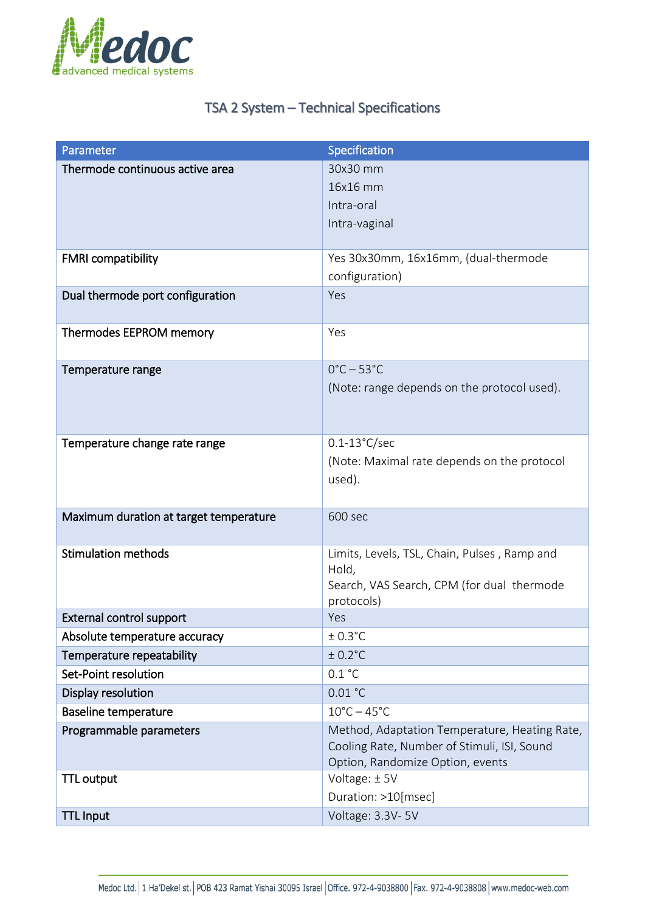

## TSA 2 System – Technical Specifications

| Parameter                              | Specification                                                                                                                    |
|----------------------------------------|----------------------------------------------------------------------------------------------------------------------------------|
| Thermode continuous active area        | 30x30 mm<br>16x16 mm<br>Intra-oral<br>Intra-vaginal                                                                              |
| <b>FMRI</b> compatibility              | Yes 30x30mm, 16x16mm, (dual-thermode<br>configuration)                                                                           |
| Dual thermode port configuration       | Yes                                                                                                                              |
| Thermodes EEPROM memory                | Yes                                                                                                                              |
| Temperature range                      | $0^{\circ}$ C - 53 $^{\circ}$ C<br>(Note: range depends on the protocol used).                                                   |
| Temperature change rate range          | $0.1 - 13^{\circ}$ C/sec<br>(Note: Maximal rate depends on the protocol<br>used).                                                |
| Maximum duration at target temperature | 600 sec                                                                                                                          |
| <b>Stimulation methods</b>             | Limits, Levels, TSL, Chain, Pulses, Ramp and<br>Hold,<br>Search, VAS Search, CPM (for dual thermode<br>protocols)                |
| <b>External control support</b>        | Yes                                                                                                                              |
| Absolute temperature accuracy          | $± 0.3$ °C                                                                                                                       |
| Temperature repeatability              | $± 0.2$ °C                                                                                                                       |
| Set-Point resolution                   | 0.1 °C                                                                                                                           |
| Display resolution                     | 0.01 °C                                                                                                                          |
| <b>Baseline temperature</b>            | $10^{\circ}$ C – 45 $^{\circ}$ C                                                                                                 |
| Programmable parameters                | Method, Adaptation Temperature, Heating Rate,<br>Cooling Rate, Number of Stimuli, ISI, Sound<br>Option, Randomize Option, events |
| <b>TTL output</b>                      | Voltage: ±5V<br>Duration: >10[msec]                                                                                              |
| <b>TTL Input</b>                       | Voltage: 3.3V-5V                                                                                                                 |